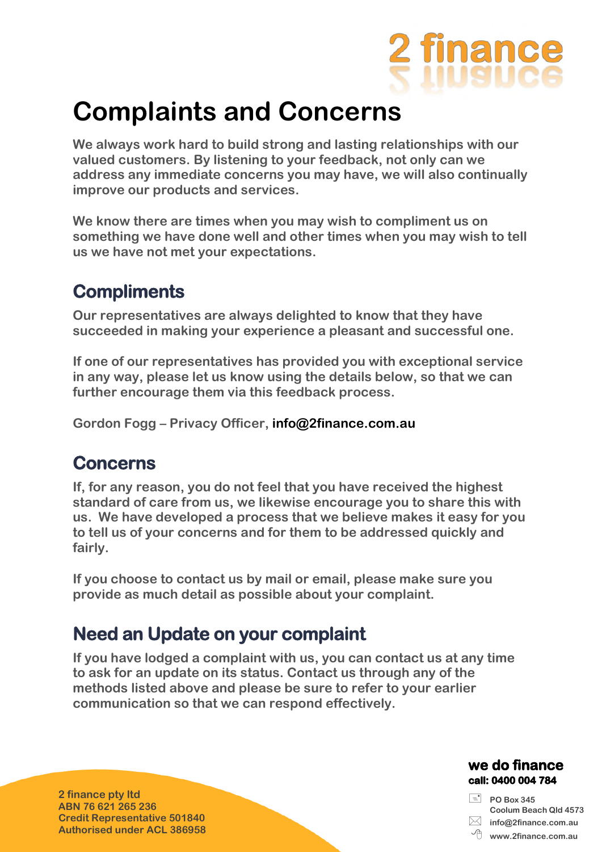

# **Complaints and Concerns**

**We always work hard to build strong and lasting relationships with our valued customers. By listening to your feedback, not only can we address any immediate concerns you may have, we will also continually improve our products and services.** 

**We know there are times when you may wish to compliment us on something we have done well and other times when you may wish to tell us we have not met your expectations.** 

### **Compliments**

**Our representatives are always delighted to know that they have succeeded in making your experience a pleasant and successful one.** 

**If one of our representatives has provided you with exceptional service in any way, please let us know using the details below, so that we can further encourage them via this feedback process.** 

**Gordon Fogg – Privacy Officer, info@2finance.com.au** 

#### **Concerns**

**If, for any reason, you do not feel that you have received the highest standard of care from us, we likewise encourage you to share this with us. We have developed a process that we believe makes it easy for you to tell us of your concerns and for them to be addressed quickly and fairly.** 

**If you choose to contact us by mail or email, please make sure you provide as much detail as possible about your complaint.** 

#### **Need an Update on your complaint**

**If you have lodged a complaint with us, you can contact us at any time to ask for an update on its status. Contact us through any of the methods listed above and please be sure to refer to your earlier communication so that we can respond effectively.**

**2 finance pty ltd ABN 76 621 265 236 Credit Representative 501840 Authorised under ACL 386958**

#### we do finance call: 0400 004 784

 **PO Box 345 Coolum Beach Qld 4573 info@2finance.com.au**

**www.2finance.com.au**